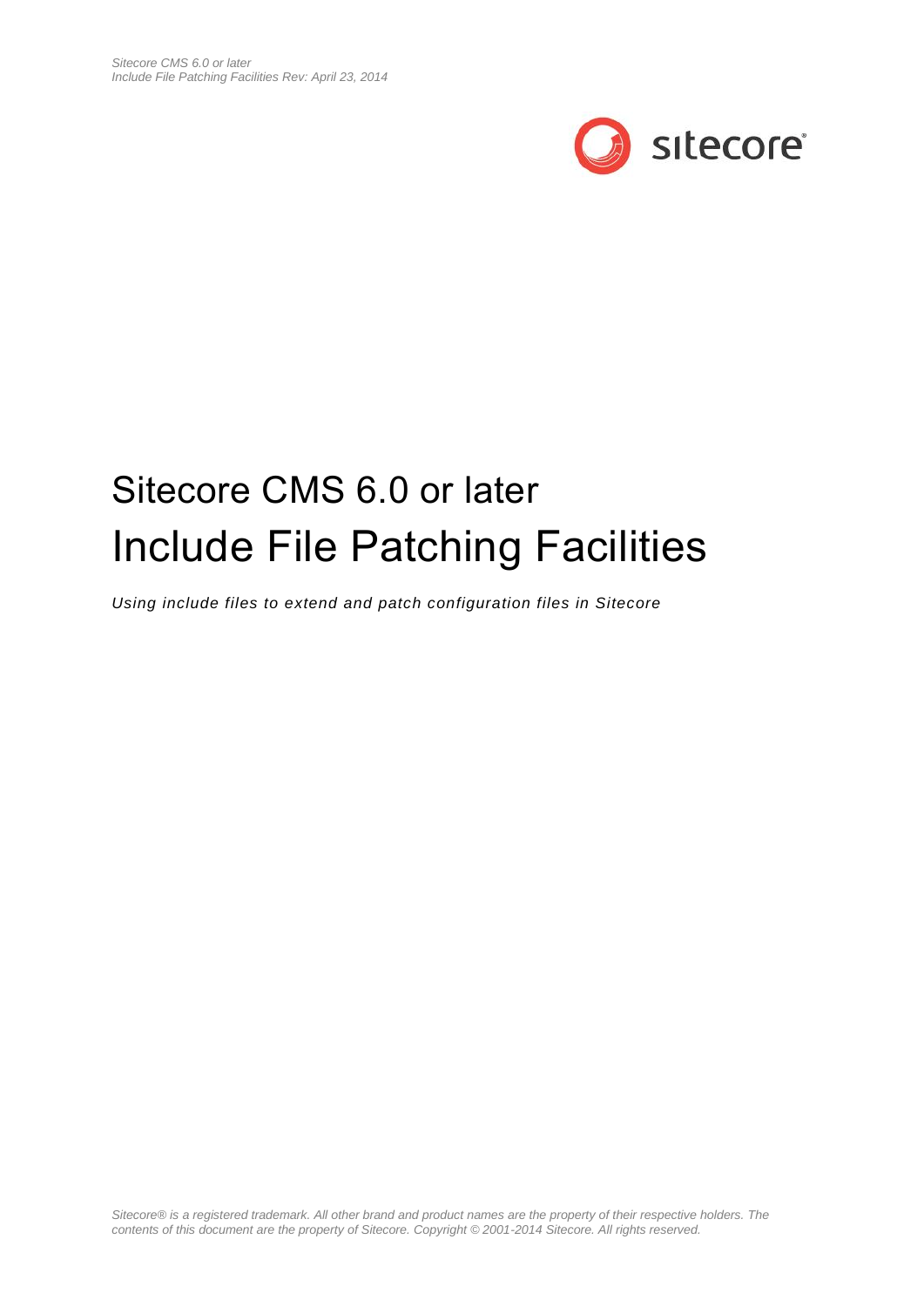

# Sitecore CMS 6.0 or later Include File Patching Facilities

*Using include files to extend and patch configuration files in Sitecore*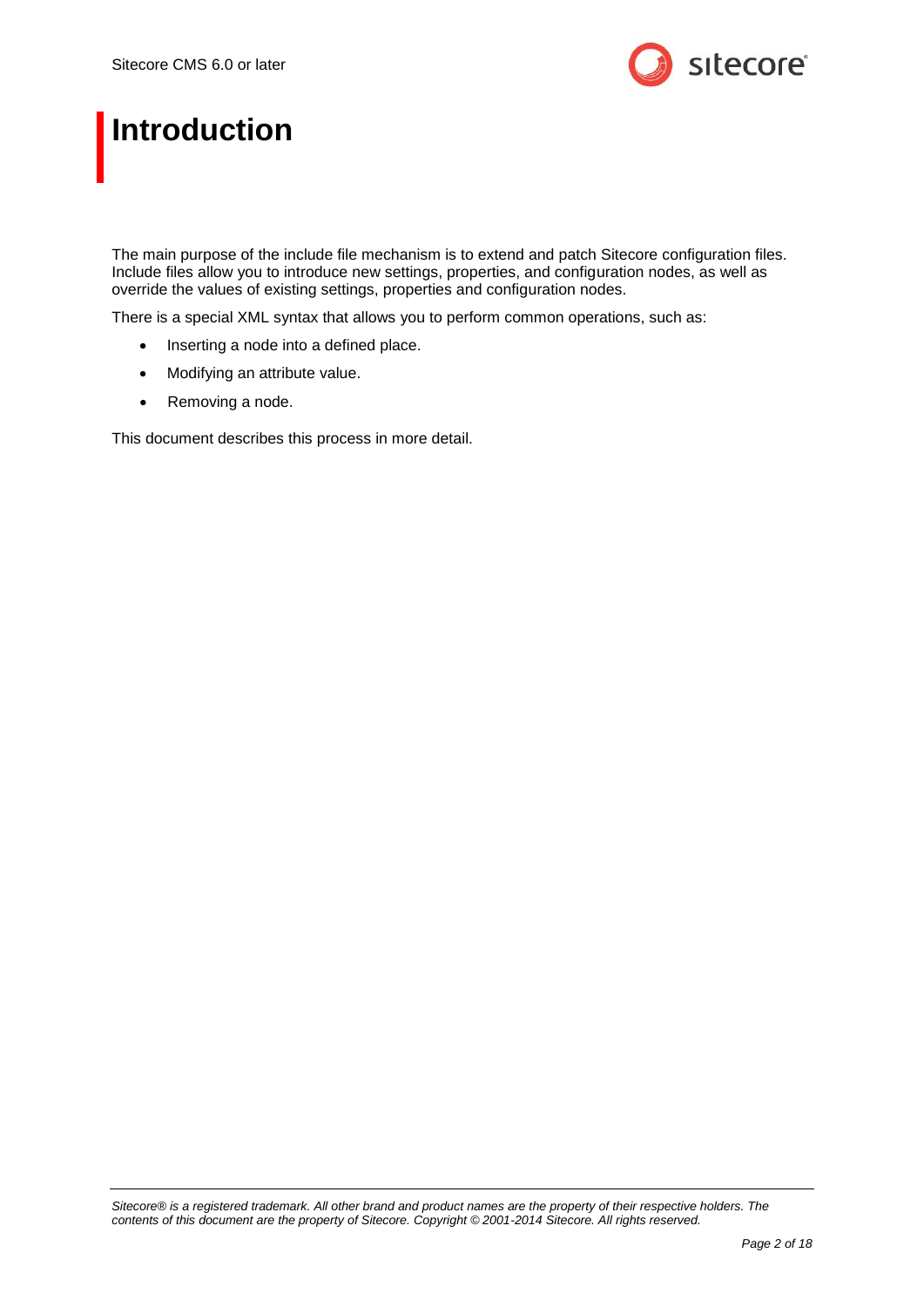

## **Introduction**

The main purpose of the include file mechanism is to extend and patch Sitecore configuration files. Include files allow you to introduce new settings, properties, and configuration nodes, as well as override the values of existing settings, properties and configuration nodes.

There is a special XML syntax that allows you to perform common operations, such as:

- Inserting a node into a defined place.
- Modifying an attribute value.
- Removing a node.

This document describes this process in more detail.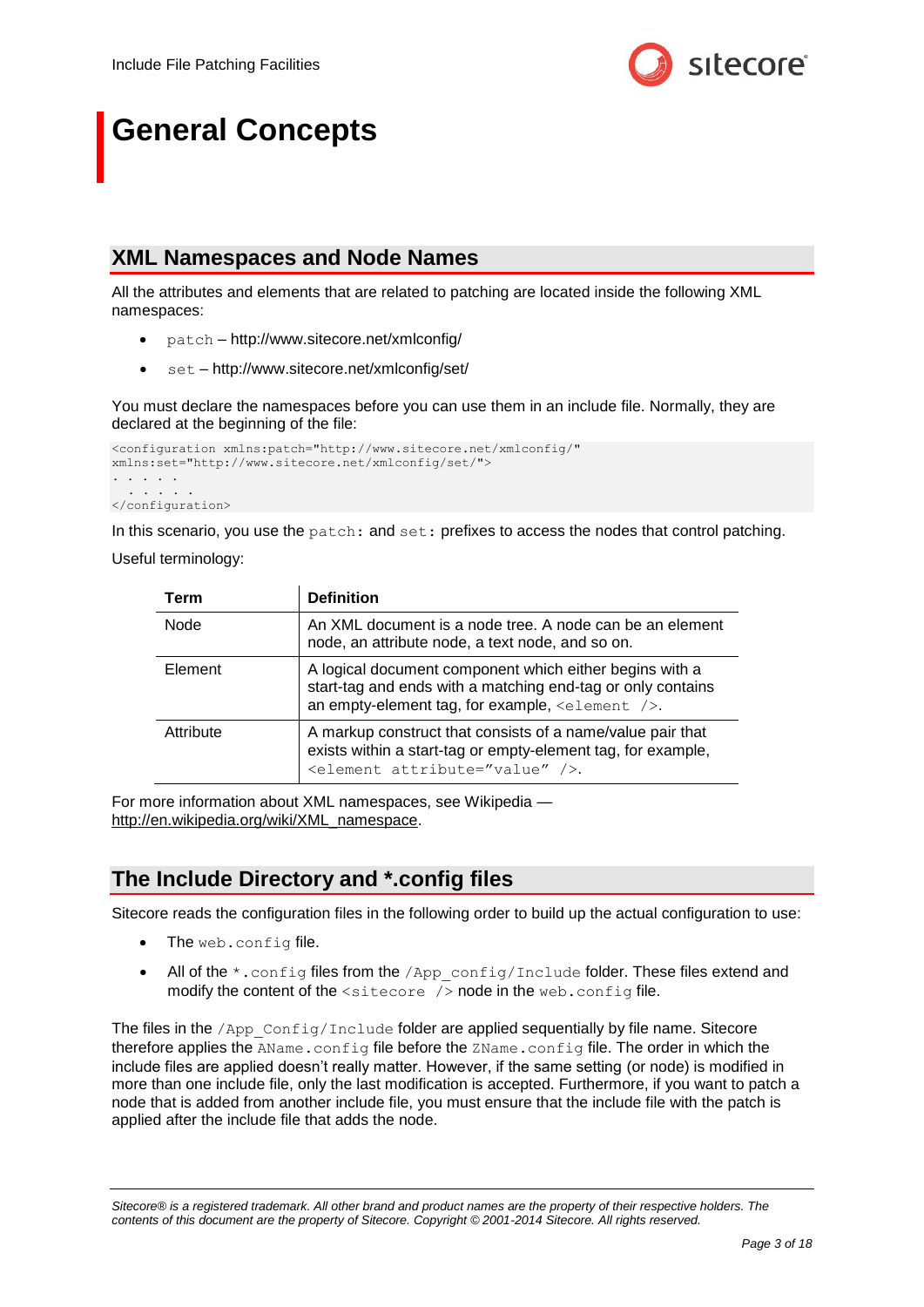

## **General Concepts**

## **XML Namespaces and Node Names**

All the attributes and elements that are related to patching are located inside the following XML namespaces:

- patch http://www.sitecore.net/xmlconfig/
- set http://www.sitecore.net/xmlconfig/set/

You must declare the namespaces before you can use them in an include file. Normally, they are declared at the beginning of the file:

```
<configuration xmlns:patch="http://www.sitecore.net/xmlconfig/" 
xmlns:set="http://www.sitecore.net/xmlconfig/set/">
. . . . . 
  . . . . .
</configuration>
```
In this scenario, you use the patch: and set: prefixes to access the nodes that control patching.

Useful terminology:

| Term      | <b>Definition</b>                                                                                                                                                                    |
|-----------|--------------------------------------------------------------------------------------------------------------------------------------------------------------------------------------|
| Node      | An XML document is a node tree. A node can be an element<br>node, an attribute node, a text node, and so on.                                                                         |
| Element   | A logical document component which either begins with a<br>start-tag and ends with a matching end-tag or only contains<br>an empty-element tag, for example, $\leq$ element $\geq$ . |
| Attribute | A markup construct that consists of a name/value pair that<br>exists within a start-tag or empty-element tag, for example,<br><element attribute="value"></element> .                |

For more information about XML namespaces, see Wikipedia http://en.wikipedia.org/wiki/XML\_namespace.

## **The Include Directory and \*.config files**

Sitecore reads the configuration files in the following order to build up the actual configuration to use:

- The web.config file.
- All of the  $*$ . config files from the  $/App\ cont{confiqu}$  config/Include folder. These files extend and modify the content of the <sitecore /> node in the web.config file.

The files in the /App\_Config/Include folder are applied sequentially by file name. Sitecore therefore applies the AName.config file before the ZName.config file. The order in which the include files are applied doesn't really matter. However, if the same setting (or node) is modified in more than one include file, only the last modification is accepted. Furthermore, if you want to patch a node that is added from another include file, you must ensure that the include file with the patch is applied after the include file that adds the node.

*Sitecore® is a registered trademark. All other brand and product names are the property of their respective holders. The contents of this document are the property of Sitecore. Copyright © 2001-2014 Sitecore. All rights reserved.*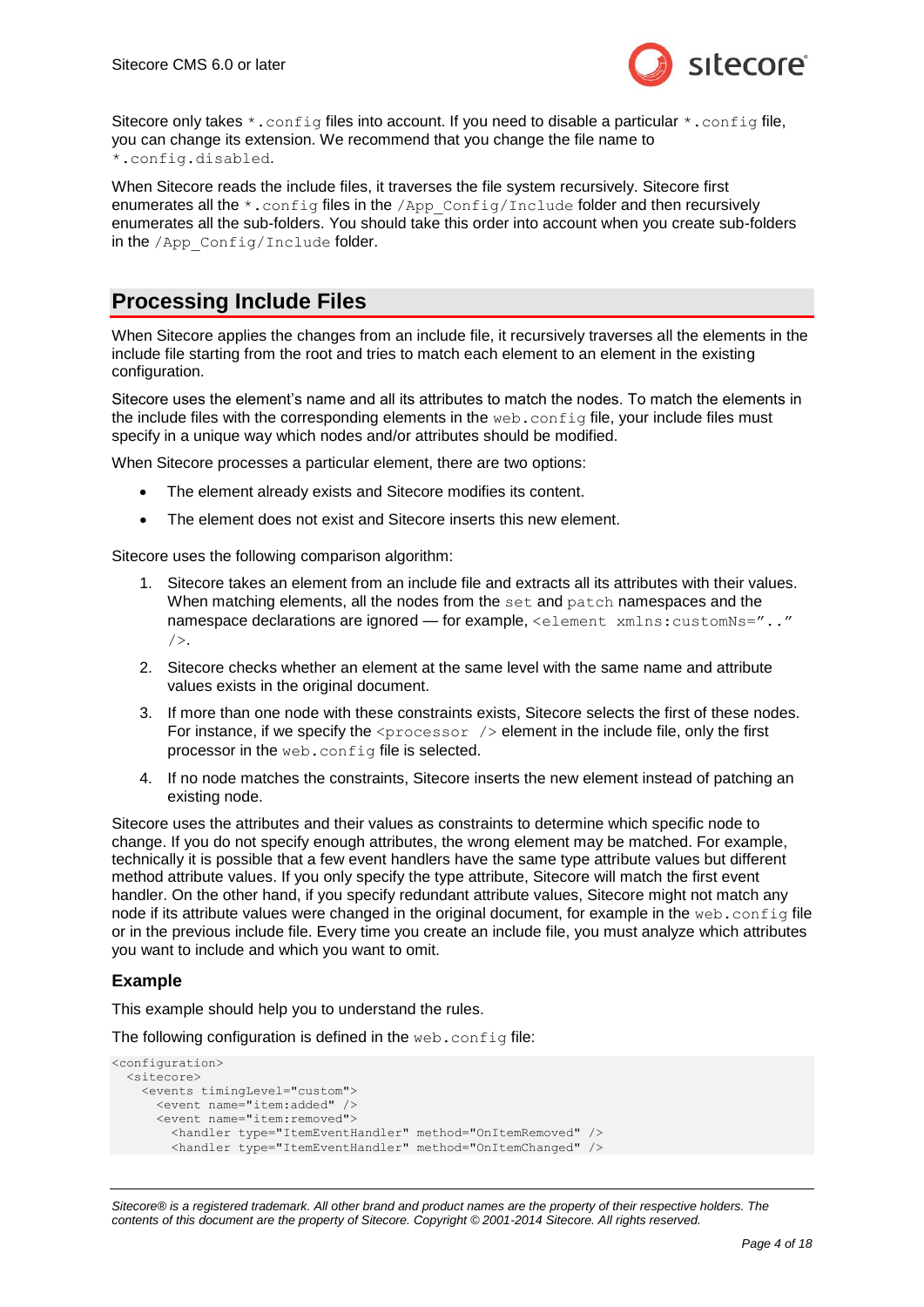

Sitecore only takes  $\star$ . config files into account. If you need to disable a particular  $\star$ . config file, you can change its extension. We recommend that you change the file name to \*.config.disabled.

When Sitecore reads the include files, it traverses the file system recursively. Sitecore first enumerates all the \*.config files in the /App\_Config/Include folder and then recursively enumerates all the sub-folders. You should take this order into account when you create sub-folders in the /App\_Config/Include folder.

## <span id="page-3-0"></span>**Processing Include Files**

When Sitecore applies the changes from an include file, it recursively traverses all the elements in the include file starting from the root and tries to match each element to an element in the existing configuration.

Sitecore uses the element's name and all its attributes to match the nodes. To match the elements in the include files with the corresponding elements in the  $web$ . config file, your include files must specify in a unique way which nodes and/or attributes should be modified.

When Sitecore processes a particular element, there are two options:

- The element already exists and Sitecore modifies its content.
- The element does not exist and Sitecore inserts this new element.

Sitecore uses the following comparison algorithm:

- 1. Sitecore takes an element from an include file and extracts all its attributes with their values. When matching elements, all the nodes from the set and patch namespaces and the namespace declarations are ignored — for example, <element xmlns:customNs=".."  $/$
- 2. Sitecore checks whether an element at the same level with the same name and attribute values exists in the original document.
- 3. If more than one node with these constraints exists, Sitecore selects the first of these nodes. For instance, if we specify the  $\langle$ processor  $/$  element in the include file, only the first processor in the web.config file is selected.
- 4. If no node matches the constraints, Sitecore inserts the new element instead of patching an existing node.

Sitecore uses the attributes and their values as constraints to determine which specific node to change. If you do not specify enough attributes, the wrong element may be matched. For example, technically it is possible that a few event handlers have the same type attribute values but different method attribute values. If you only specify the type attribute, Sitecore will match the first event handler. On the other hand, if you specify redundant attribute values, Sitecore might not match any node if its attribute values were changed in the original document, for example in the web.config file or in the previous include file. Every time you create an include file, you must analyze which attributes you want to include and which you want to omit.

## **Example**

This example should help you to understand the rules.

The following configuration is defined in the web.config file:

```
<configuration>
  <sitecore>
     <events timingLevel="custom">
       <event name="item:added" />
       <event name="item:removed">
         <handler type="ItemEventHandler" method="OnItemRemoved" />
         <handler type="ItemEventHandler" method="OnItemChanged" />
```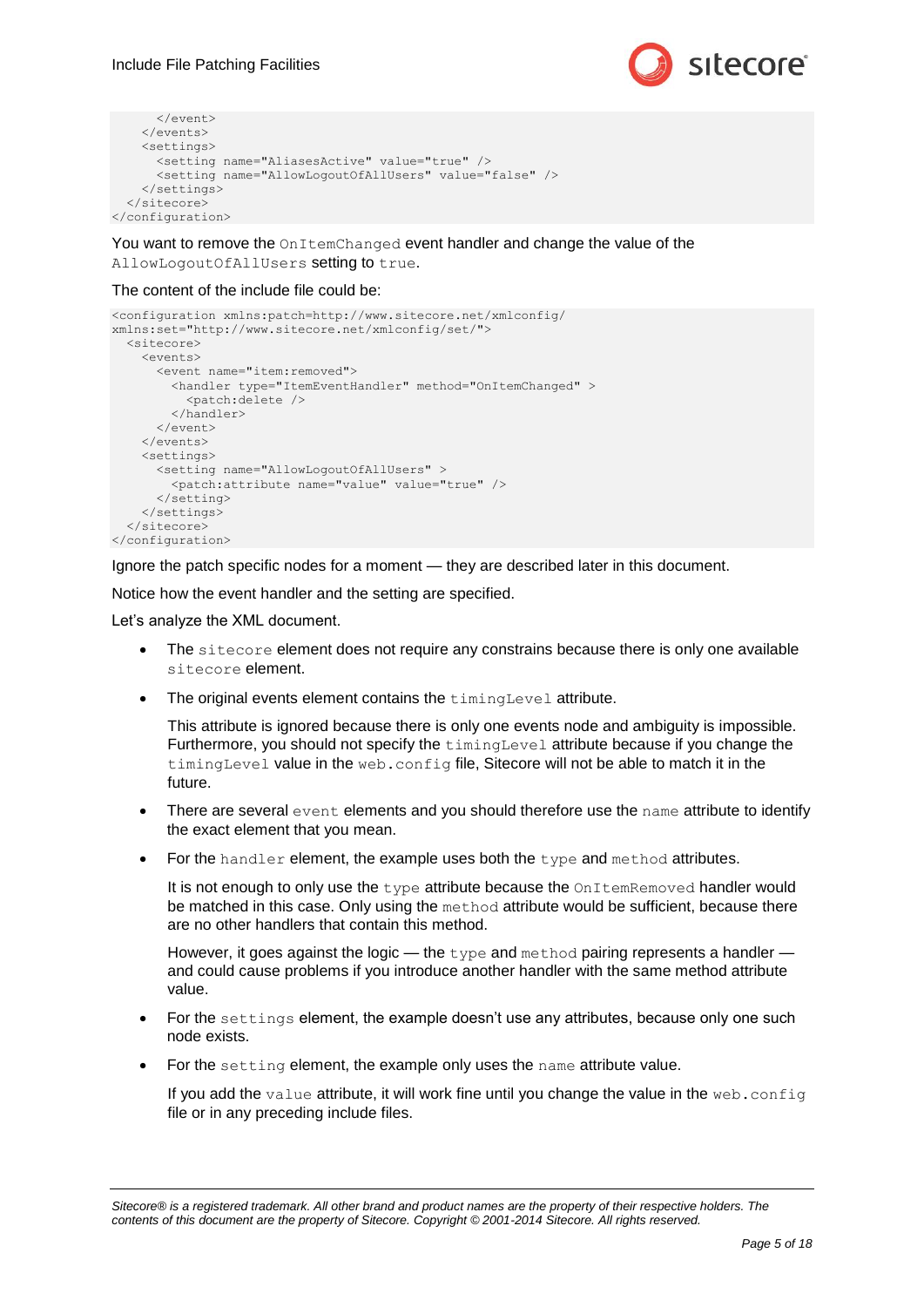

```
 </event>
    \langle/events>
     <settings>
      <setting name="AliasesActive" value="true" />
       <setting name="AllowLogoutOfAllUsers" value="false" />
     </settings>
   </sitecore>
</configuration>
```
You want to remove the OnItemChanged event handler and change the value of the AllowLogoutOfAllUsers setting to true.

#### The content of the include file could be:

```
<configuration xmlns:patch=http://www.sitecore.net/xmlconfig/ 
xmlns:set="http://www.sitecore.net/xmlconfig/set/">
   <sitecore>
     <events>
       <event name="item:removed">
         <handler type="ItemEventHandler" method="OnItemChanged" >
           <patch:delete />
         </handler>
       </event>
    \langle/events>
     <settings>
       <setting name="AllowLogoutOfAllUsers" >
         <patch:attribute name="value" value="true" />
       </setting>
     </settings>
   </sitecore>
</configuration>
```
Ignore the patch specific nodes for a moment — they are described later in this document.

Notice how the event handler and the setting are specified.

Let's analyze the XML document.

- The sitecore element does not require any constrains because there is only one available sitecore element.
- The original events element contains the timingLevel attribute.

This attribute is ignored because there is only one events node and ambiguity is impossible. Furthermore, you should not specify the timingLevel attribute because if you change the timingLevel value in the web.config file, Sitecore will not be able to match it in the future.

- $\bullet$  There are several event elements and you should therefore use the name attribute to identify the exact element that you mean.
- $\bullet$  For the handler element, the example uses both the type and method attributes.

It is not enough to only use the type attribute because the OnItemRemoved handler would be matched in this case. Only using the method attribute would be sufficient, because there are no other handlers that contain this method.

However, it goes against the logic — the  $type$  and method pairing represents a handler and could cause problems if you introduce another handler with the same method attribute value.

- For the settings element, the example doesn't use any attributes, because only one such node exists.
- For the setting element, the example only uses the name attribute value.

If you add the value attribute, it will work fine until you change the value in the web.config file or in any preceding include files.

*Sitecore® is a registered trademark. All other brand and product names are the property of their respective holders. The contents of this document are the property of Sitecore. Copyright © 2001-2014 Sitecore. All rights reserved.*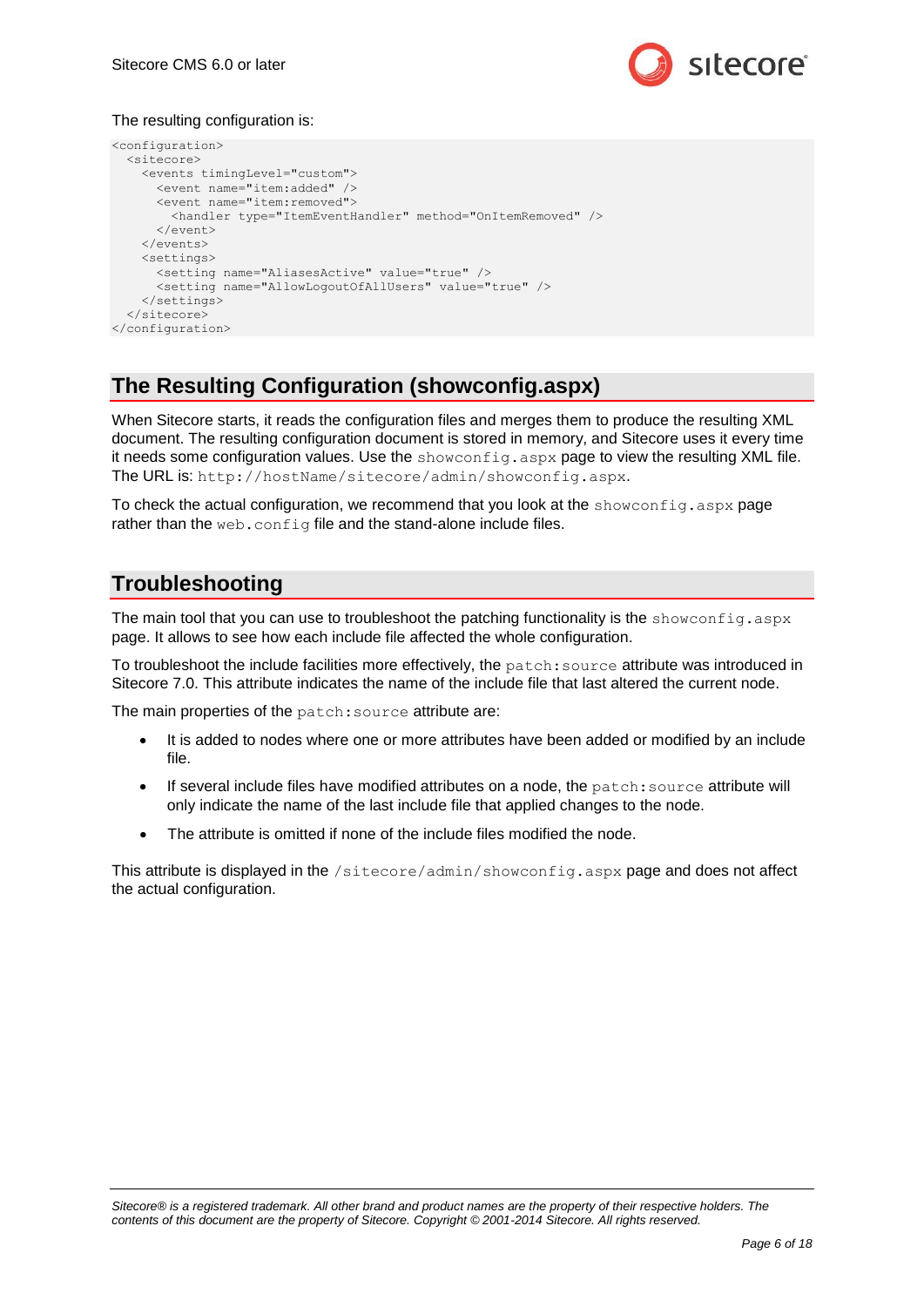

## The resulting configuration is:

```
<configuration>
  <sitecore>
     <events timingLevel="custom">
       <event name="item:added" />
       <event name="item:removed">
         <handler type="ItemEventHandler" method="OnItemRemoved" />
       </event>
     </events>
     <settings>
       <setting name="AliasesActive" value="true" />
       <setting name="AllowLogoutOfAllUsers" value="true" />
     </settings>
  </sitecore>
</configuration>
```
## **The Resulting Configuration (showconfig.aspx)**

When Sitecore starts, it reads the configuration files and merges them to produce the resulting XML document. The resulting configuration document is stored in memory, and Sitecore uses it every time it needs some configuration values. Use the showconfig.aspx page to view the resulting XML file. The URL is: http://hostName/sitecore/admin/showconfig.aspx.

To check the actual configuration, we recommend that you look at the showconfig.aspx page rather than the web.config file and the stand-alone include files.

## **Troubleshooting**

The main tool that you can use to troubleshoot the patching functionality is the showconfig.aspx page. It allows to see how each include file affected the whole configuration.

To troubleshoot the include facilities more effectively, the patch:source attribute was introduced in Sitecore 7.0. This attribute indicates the name of the include file that last altered the current node.

The main properties of the patch: source attribute are:

- It is added to nodes where one or more attributes have been added or modified by an include file.
- $\bullet$  If several include files have modified attributes on a node, the  $pattern$ : source attribute will only indicate the name of the last include file that applied changes to the node.
- The attribute is omitted if none of the include files modified the node.

This attribute is displayed in the /sitecore/admin/showconfig.aspx page and does not affect the actual configuration.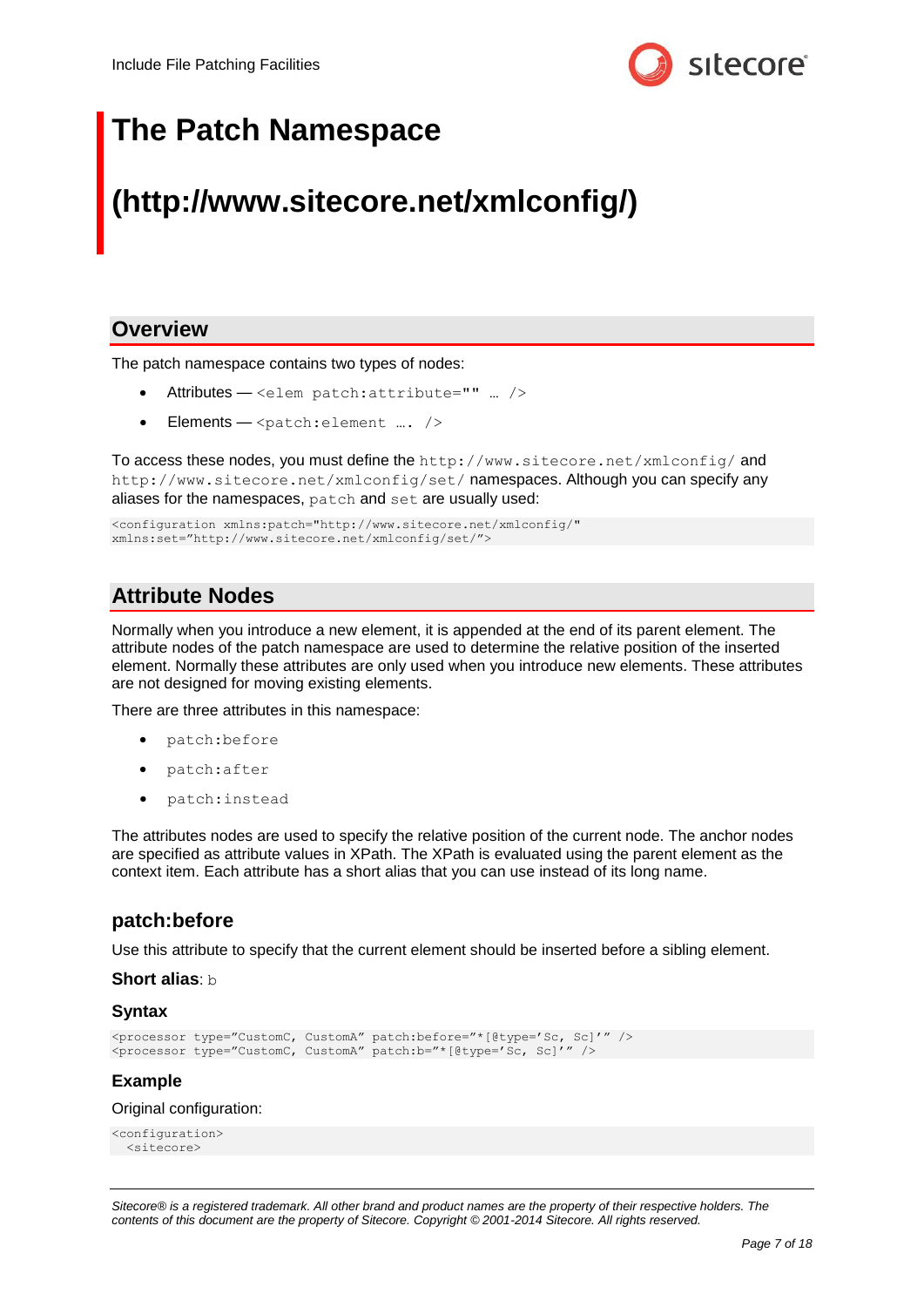

## **The Patch Namespace**

## **(http://www.sitecore.net/xmlconfig/)**

## **Overview**

The patch namespace contains two types of nodes:

- Attributes <elem patch:attribute="" … />
- Elements  $<$ patch:element …. />

To access these nodes, you must define the http://www.sitecore.net/xmlconfig/ and http://www.sitecore.net/xmlconfig/set/ namespaces. Although you can specify any aliases for the namespaces, patch and set are usually used:

```
<configuration xmlns:patch="http://www.sitecore.net/xmlconfig/" 
xmlns:set="http://www.sitecore.net/xmlconfig/set/">
```
## **Attribute Nodes**

Normally when you introduce a new element, it is appended at the end of its parent element. The attribute nodes of the patch namespace are used to determine the relative position of the inserted element. Normally these attributes are only used when you introduce new elements. These attributes are not designed for moving existing elements.

There are three attributes in this namespace:

- patch:before
- patch:after
- patch:instead

The attributes nodes are used to specify the relative position of the current node. The anchor nodes are specified as attribute values in XPath. The XPath is evaluated using the parent element as the context item. Each attribute has a short alias that you can use instead of its long name.

## **patch:before**

Use this attribute to specify that the current element should be inserted before a sibling element.

### **Short alias**: b

#### **Syntax**

```
<processor type="CustomC, CustomA" patch:before="*[@type='Sc, Sc]'" />
<processor type="CustomC, CustomA" patch:b="*[@type='Sc, Sc]'" />
```
## **Example**

#### Original configuration:

```
<configuration>
  <sitecore>
```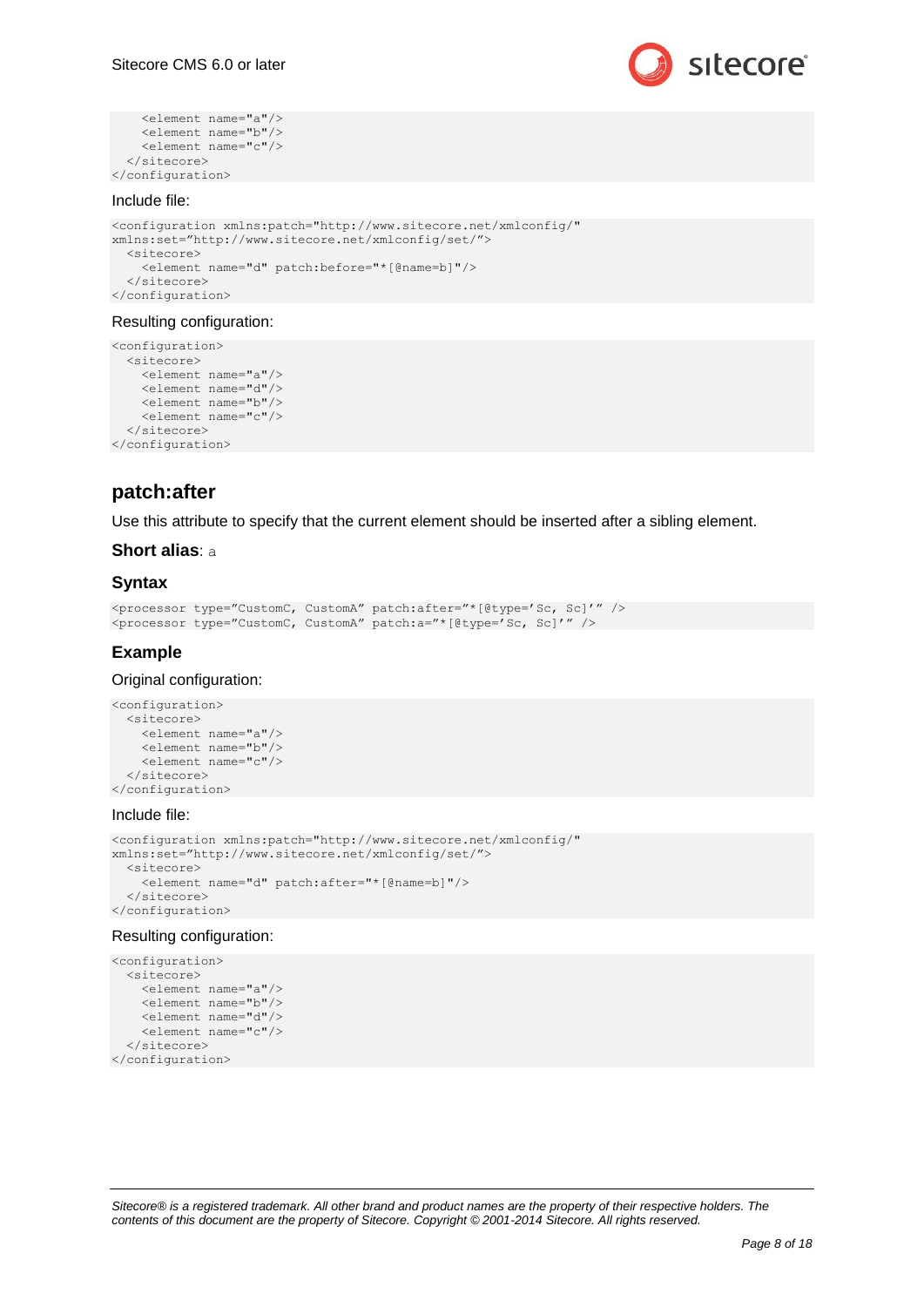

```
 <element name="a"/>
     <element name="b"/>
     <element name="c"/>
   </sitecore>
</configuration>
```
#### Include file:

```
<configuration xmlns:patch="http://www.sitecore.net/xmlconfig/" 
xmlns:set="http://www.sitecore.net/xmlconfig/set/">
  <sitecore>
    <element name="d" patch:before="*[@name=b]"/>
  </sitecore>
</configuration>
```
#### Resulting configuration:

```
<configuration>
   <sitecore>
     <element name="a"/>
     <element name="d"/>
     <element name="b"/>
     <element name="c"/>
  </sitecore>
</configuration>
```
## **patch:after**

Use this attribute to specify that the current element should be inserted after a sibling element.

### **Short alias**: a

#### **Syntax**

```
<processor type="CustomC, CustomA" patch:after="*[@type='Sc, Sc]'" />
<processor type="CustomC, CustomA" patch:a="*[@type='Sc, Sc]'" />
```
#### **Example**

#### Original configuration:

```
<configuration>
   <sitecore>
     <element name="a"/>
     <element name="b"/>
     <element name="c"/>
   </sitecore>
</configuration>
```
#### Include file:

```
<configuration xmlns:patch="http://www.sitecore.net/xmlconfig/" 
xmlns:set="http://www.sitecore.net/xmlconfig/set/">
  <sitecore>
     <element name="d" patch:after="*[@name=b]"/>
   </sitecore>
</configuration>
```
#### Resulting configuration:

```
<configuration>
   <sitecore>
    <element name="a"/>
     <element name="b"/>
    <element name="d"/>
    <element name="c"/>
   </sitecore>
</configuration>
```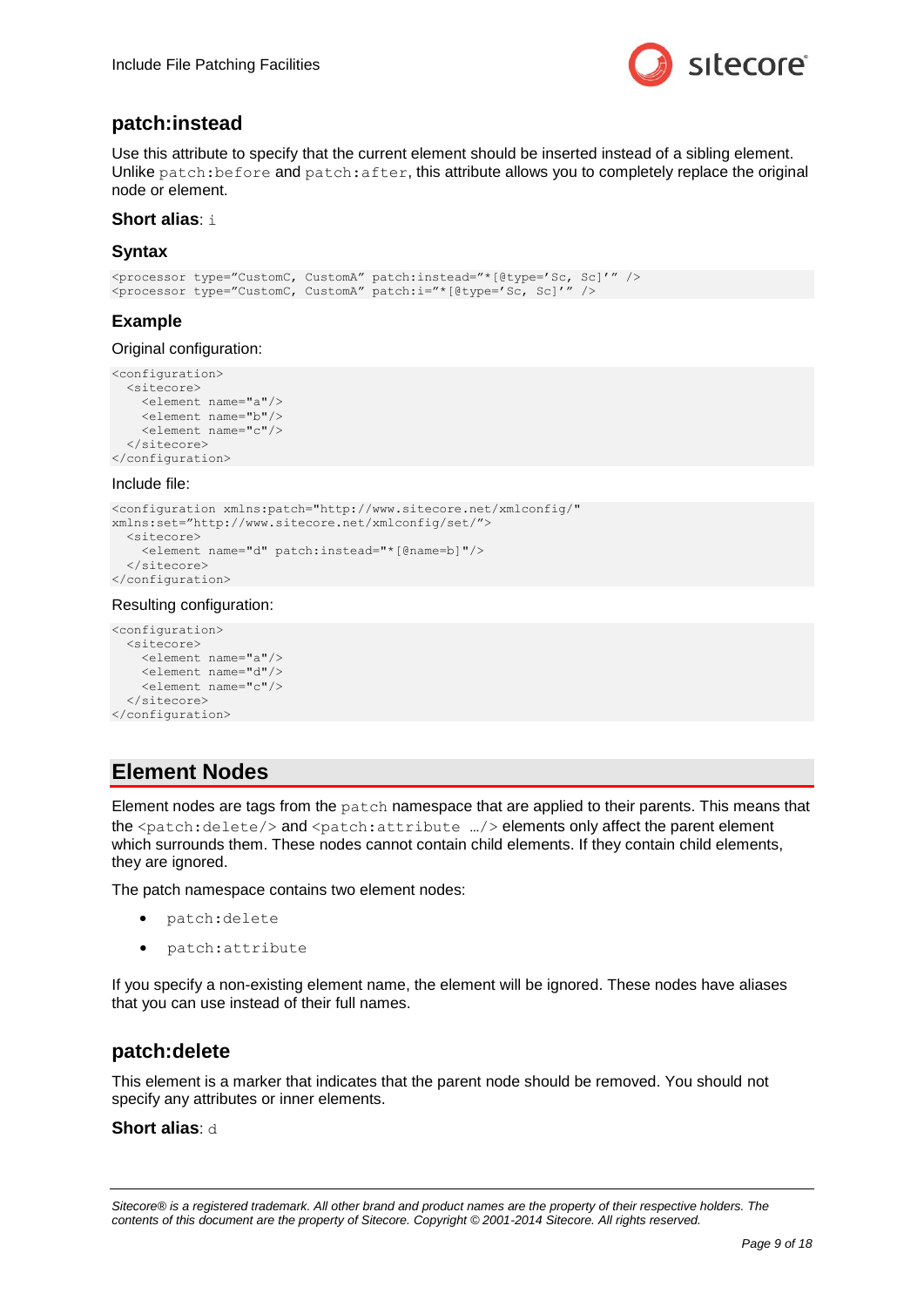

## **patch:instead**

Use this attribute to specify that the current element should be inserted instead of a sibling element. Unlike patch: before and patch: after, this attribute allows you to completely replace the original node or element.

### **Short alias**: i

## **Syntax**

```
<processor type="CustomC, CustomA" patch:instead="*[@type='Sc, Sc]'" />
<processor type="CustomC, CustomA" patch:i="*[@type='Sc, Sc]'" />
```
## **Example**

Original configuration:

```
<configuration>
   <sitecore>
     <element name="a"/>
     <element name="b"/>
     <element name="c"/>
   </sitecore>
</configuration>
```
#### Include file:

```
<configuration xmlns:patch="http://www.sitecore.net/xmlconfig/" 
xmlns:set="http://www.sitecore.net/xmlconfig/set/">
  <sitecore>
     <element name="d" patch:instead="*[@name=b]"/>
   </sitecore>
</configuration>
```
#### Resulting configuration:

```
<configuration>
   <sitecore>
    <element name="a"/>
     <element name="d"/>
     <element name="c"/>
   </sitecore>
</configuration>
```
## **Element Nodes**

Element nodes are tags from the patch namespace that are applied to their parents. This means that the <patch:delete/> and <patch:attribute …/> elements only affect the parent element which surrounds them. These nodes cannot contain child elements. If they contain child elements, they are ignored.

The patch namespace contains two element nodes:

- patch:delete
- patch:attribute

If you specify a non-existing element name, the element will be ignored. These nodes have aliases that you can use instead of their full names.

## **patch:delete**

This element is a marker that indicates that the parent node should be removed. You should not specify any attributes or inner elements.

### **Short alias**: d

*Sitecore® is a registered trademark. All other brand and product names are the property of their respective holders. The contents of this document are the property of Sitecore. Copyright © 2001-2014 Sitecore. All rights reserved.*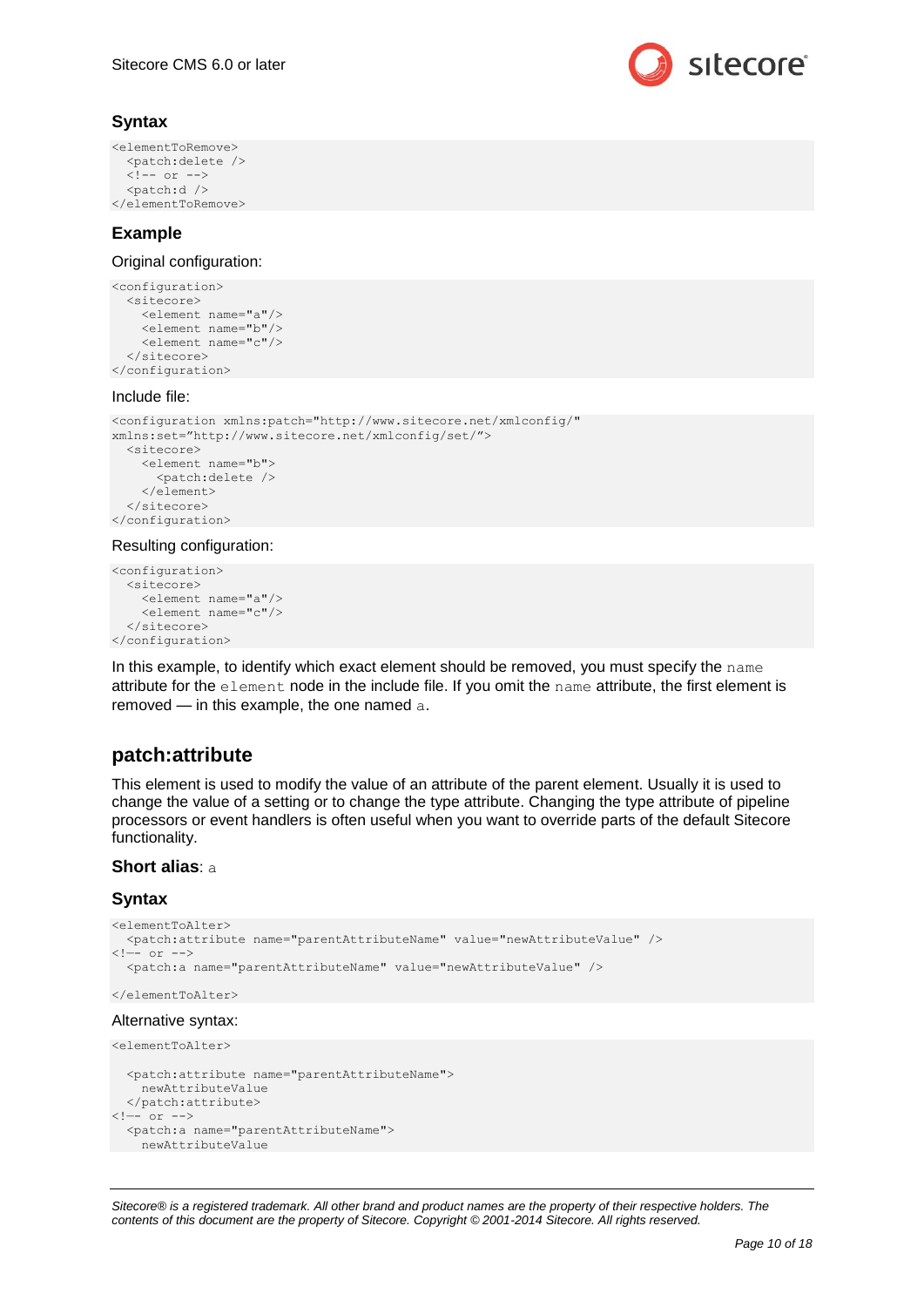

## **Syntax**

```
<elementToRemove>
   <patch:delete />
  \langle!-- or -->
   <patch:d />
</elementToRemove>
```
## **Example**

Original configuration:

```
<configuration>
   <sitecore>
     <element name="a"/>
     <element name="b"/>
    <element name="c"/>
   </sitecore>
</configuration>
```
### Include file:

```
<configuration xmlns:patch="http://www.sitecore.net/xmlconfig/" 
xmlns:set="http://www.sitecore.net/xmlconfig/set/">
  <sitecore>
     <element name="b">
      <patch:delete />
     </element>
   </sitecore>
</configuration>
```
#### Resulting configuration:

```
<configuration>
   <sitecore>
    <element name="a"/>
     <element name="c"/>
   </sitecore>
</configuration>
```
In this example, to identify which exact element should be removed, you must specify the name attribute for the element node in the include file. If you omit the name attribute, the first element is removed — in this example, the one named a.

## **patch:attribute**

This element is used to modify the value of an attribute of the parent element. Usually it is used to change the value of a setting or to change the type attribute. Changing the type attribute of pipeline processors or event handlers is often useful when you want to override parts of the default Sitecore functionality.

#### **Short alias**: a

## **Syntax**

```
<elementToAlter>
   <patch:attribute name="parentAttributeName" value="newAttributeValue" />
\leftarrow -- or -->
   <patch:a name="parentAttributeName" value="newAttributeValue" />
</elementToAlter>
Alternative syntax:
<elementToAlter>
   <patch:attribute name="parentAttributeName">
```

```
 newAttributeValue
  </patch:attribute>
\langle !-- or -->
  <patch:a name="parentAttributeName">
    newAttributeValue
```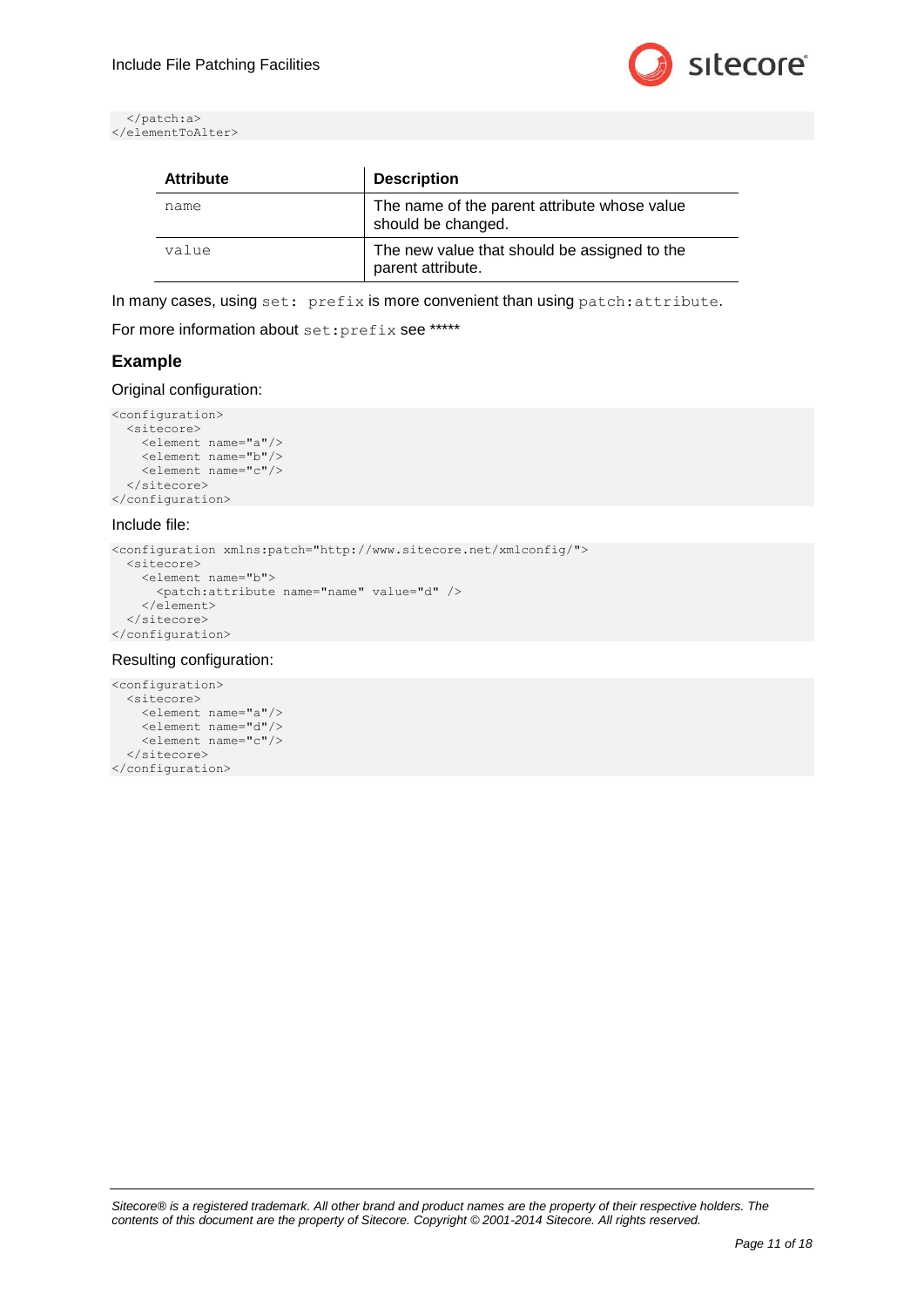

```
 </patch:a>
</elementToAlter>
```

| <b>Attribute</b> | <b>Description</b>                                                 |
|------------------|--------------------------------------------------------------------|
| name             | The name of the parent attribute whose value<br>should be changed. |
| value            | The new value that should be assigned to the<br>parent attribute.  |

In many cases, using set: prefix is more convenient than using patch:attribute.

For more information about set: prefix see \*\*\*\*\*

## **Example**

Original configuration:

```
<configuration>
   <sitecore>
    <element name="a"/>
     <element name="b"/>
     <element name="c"/>
   </sitecore>
</configuration>
```
#### Include file:

```
<configuration xmlns:patch="http://www.sitecore.net/xmlconfig/">
  <sitecore>
    <element name="b">
      <patch:attribute name="name" value="d" />
    </element>
  </sitecore>
</configuration>
```
#### Resulting configuration:

```
<configuration>
   <sitecore>
    <element name="a"/>
     <element name="d"/>
     <element name="c"/>
   </sitecore>
</configuration>
```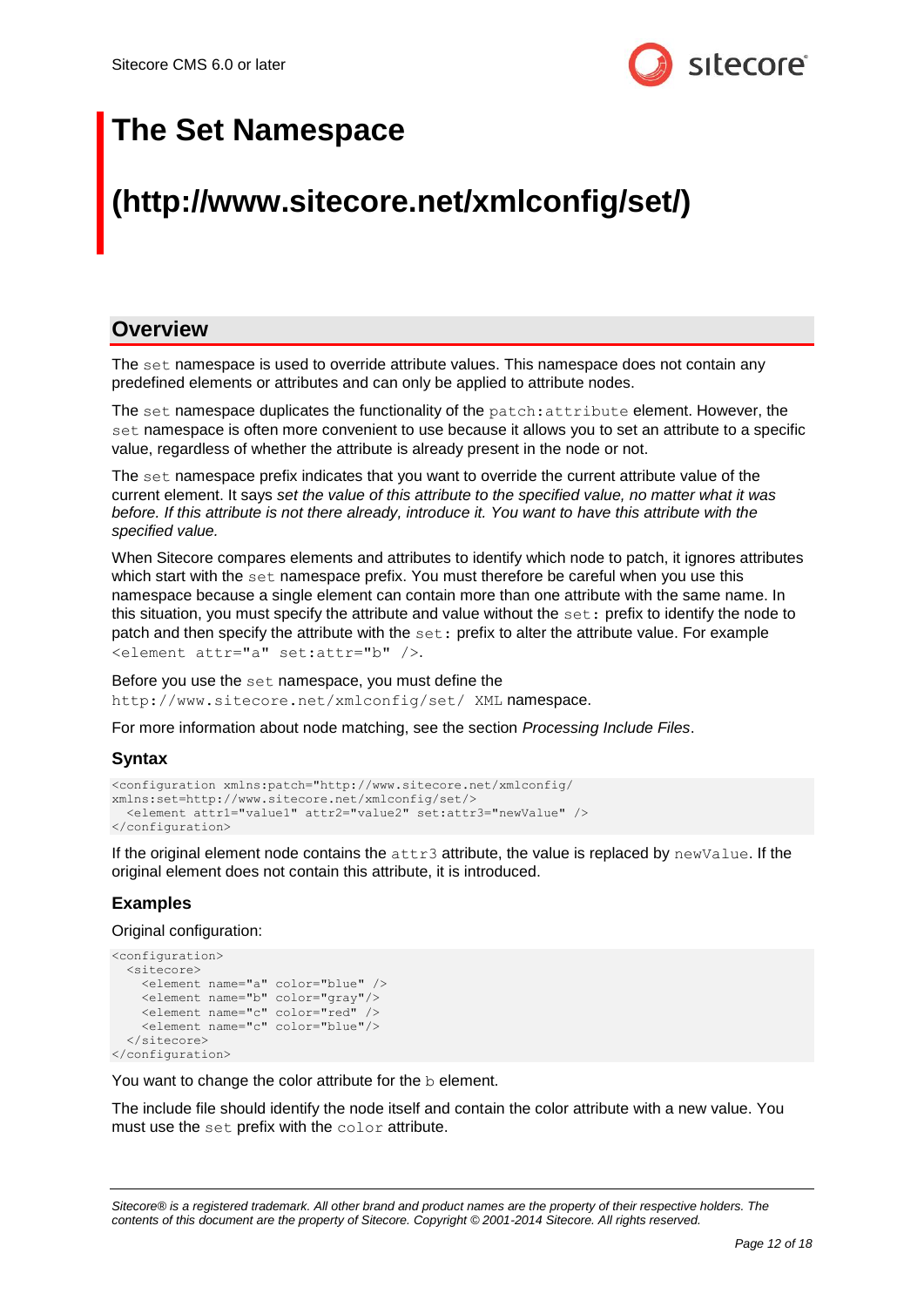

## **The Set Namespace**

## **(http://www.sitecore.net/xmlconfig/set/)**

## **Overview**

The set namespace is used to override attribute values. This namespace does not contain any predefined elements or attributes and can only be applied to attribute nodes.

The set namespace duplicates the functionality of the patch: attribute element. However, the set namespace is often more convenient to use because it allows you to set an attribute to a specific value, regardless of whether the attribute is already present in the node or not.

The set namespace prefix indicates that you want to override the current attribute value of the current element. It says *set the value of this attribute to the specified value, no matter what it was before. If this attribute is not there already, introduce it. You want to have this attribute with the specified value.*

When Sitecore compares elements and attributes to identify which node to patch, it ignores attributes which start with the set namespace prefix. You must therefore be careful when you use this namespace because a single element can contain more than one attribute with the same name. In this situation, you must specify the attribute and value without the set: prefix to identify the node to patch and then specify the attribute with the set: prefix to alter the attribute value. For example <element attr="a" set:attr="b" />.

Before you use the set namespace, you must define the http://www.sitecore.net/xmlconfig/set/ XML namespace.

For more information about node matching, see the section *[Processing Include Files](#page-3-0)*.

## **Syntax**

```
<configuration xmlns:patch="http://www.sitecore.net/xmlconfig/ 
xmlns:set=http://www.sitecore.net/xmlconfig/set/>
   <element attr1="value1" attr2="value2" set:attr3="newValue" />
</configuration>
```
If the original element node contains the  $attn3$  attribute, the value is replaced by  $newValue$ . If the original element does not contain this attribute, it is introduced.

## **Examples**

Original configuration:

```
<configuration>
  <sitecore>
     <element name="a" color="blue" />
     <element name="b" color="gray"/>
     <element name="c" color="red" />
     <element name="c" color="blue"/>
  </sitecore>
</configuration>
```
You want to change the color attribute for the b element.

The include file should identify the node itself and contain the color attribute with a new value. You must use the set prefix with the color attribute.

*Sitecore® is a registered trademark. All other brand and product names are the property of their respective holders. The contents of this document are the property of Sitecore. Copyright © 2001-2014 Sitecore. All rights reserved.*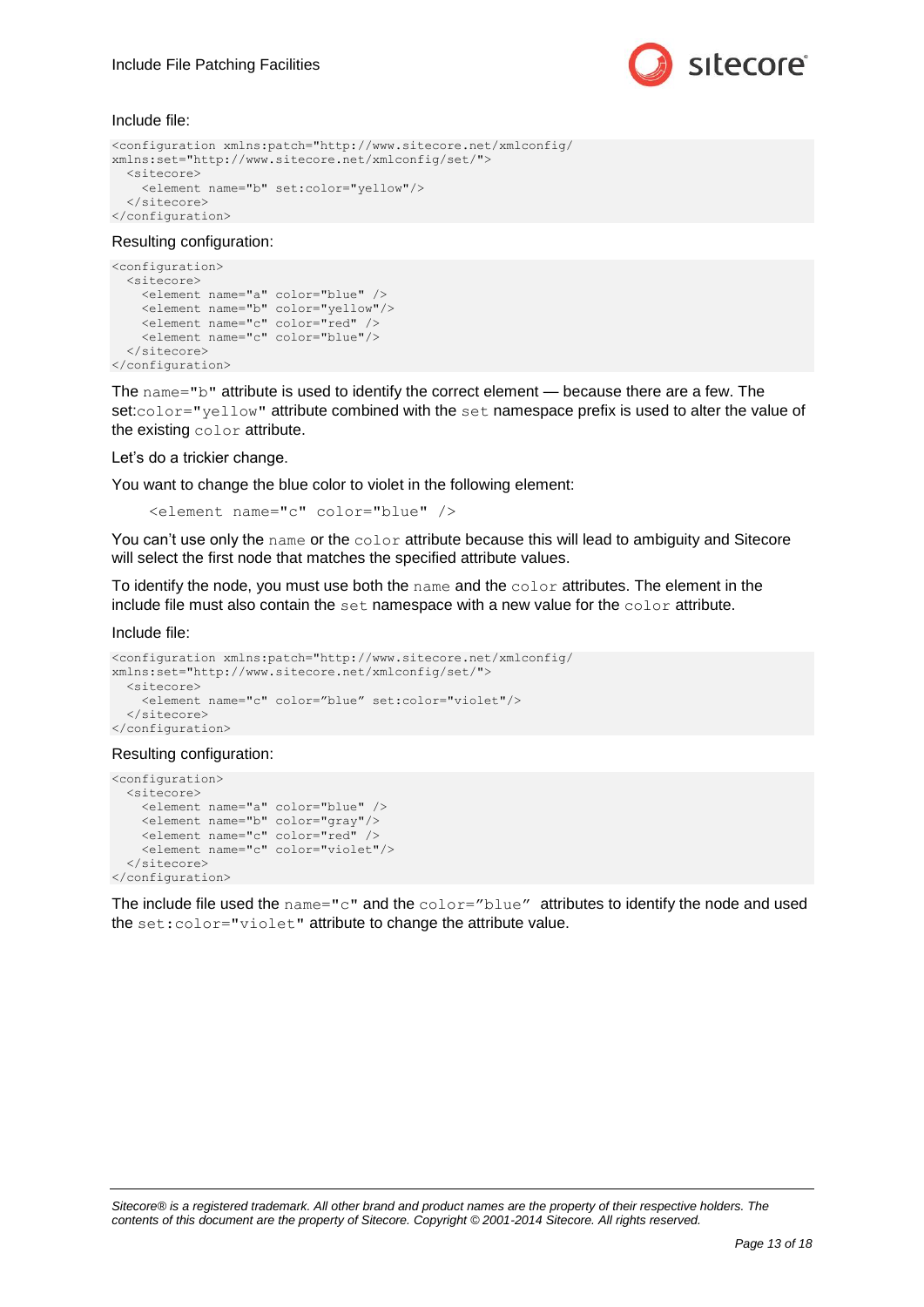

Include file:

```
<configuration xmlns:patch="http://www.sitecore.net/xmlconfig/ 
xmlns:set="http://www.sitecore.net/xmlconfig/set/">
  <sitecore>
    <element name="b" set:color="yellow"/>
   </sitecore>
</configuration>
```
#### Resulting configuration:

```
<configuration>
   <sitecore>
    <element name="a" color="blue" />
     <element name="b" color="yellow"/>
    <element name="c" color="red" />
     <element name="c" color="blue"/>
  </sitecore>
</configuration>
```
The name="b" attribute is used to identify the correct element — because there are a few. The set:color="yellow" attribute combined with the set namespace prefix is used to alter the value of the existing color attribute.

Let's do a trickier change.

You want to change the blue color to violet in the following element:

```
 <element name="c" color="blue" />
```
You can't use only the name or the color attribute because this will lead to ambiguity and Sitecore will select the first node that matches the specified attribute values.

To identify the node, you must use both the name and the color attributes. The element in the include file must also contain the set namespace with a new value for the color attribute.

Include file:

```
<configuration xmlns:patch="http://www.sitecore.net/xmlconfig/ 
xmlns:set="http://www.sitecore.net/xmlconfig/set/">
   <sitecore>
     <element name="c" color="blue" set:color="violet"/>
   </sitecore>
</configuration>
```
#### Resulting configuration:

```
<configuration>
  <sitecore>
    <element name="a" color="blue" />
 <element name="b" color="gray"/>
 <element name="c" color="red" />
    <element name="c" color="violet"/>
   </sitecore>
</configuration>
```
The include file used the name="c" and the  $color="blue"$  blue" attributes to identify the node and used the set:color="violet" attribute to change the attribute value.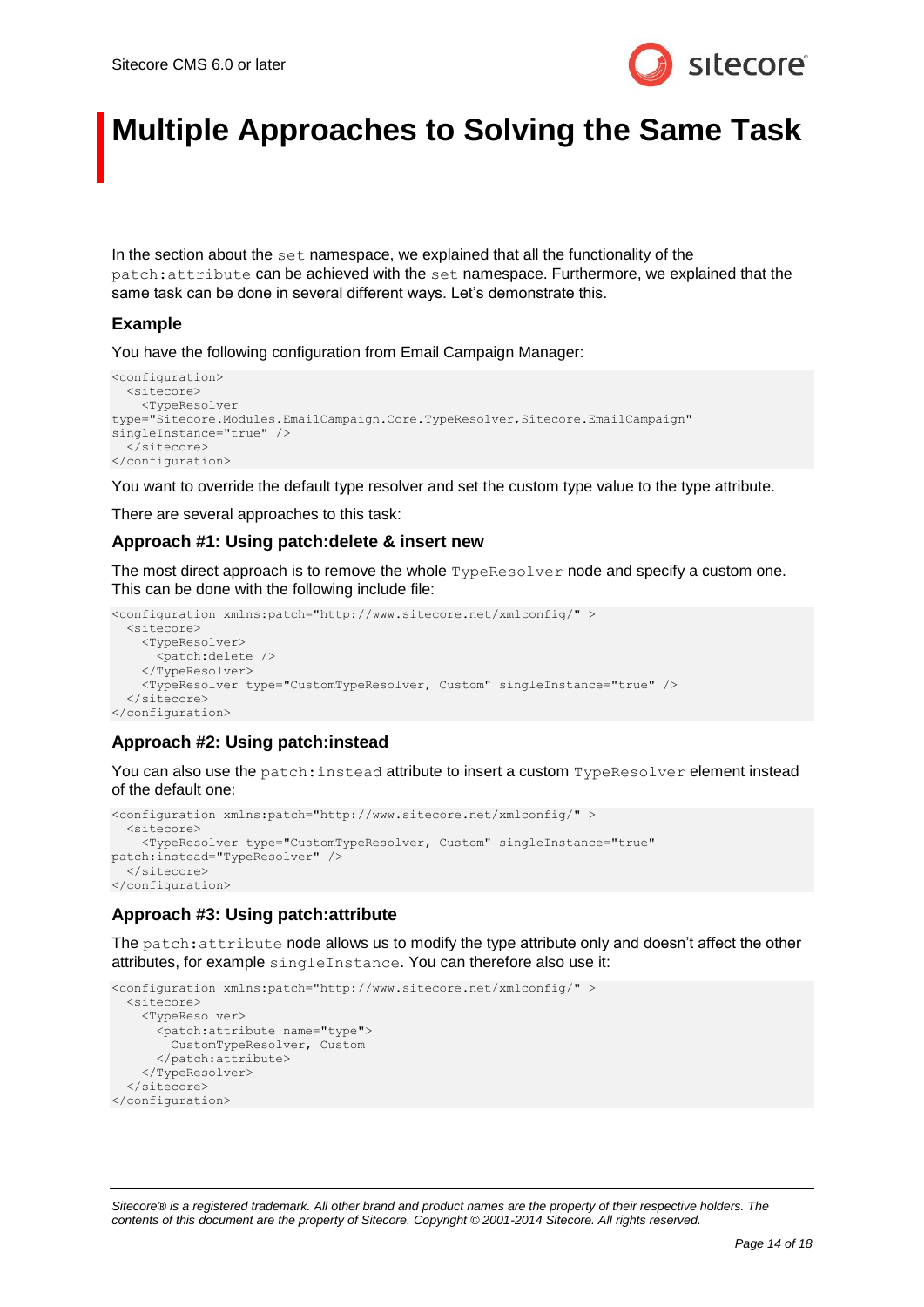

## **Multiple Approaches to Solving the Same Task**

In the section about the  $set$  namespace, we explained that all the functionality of the patch:attribute can be achieved with the set namespace. Furthermore, we explained that the same task can be done in several different ways. Let's demonstrate this.

## **Example**

You have the following configuration from Email Campaign Manager:

```
<configuration>
   <sitecore>
    <TypeResolver 
type="Sitecore.Modules.EmailCampaign.Core.TypeResolver,Sitecore.EmailCampaign" 
singleInstance="true" />
   </sitecore>
</configuration>
```
You want to override the default type resolver and set the custom type value to the type attribute.

There are several approaches to this task:

## **Approach #1: Using patch:delete & insert new**

The most direct approach is to remove the whole **TypeResolver** node and specify a custom one. This can be done with the following include file:

```
<configuration xmlns:patch="http://www.sitecore.net/xmlconfig/" >
   <sitecore>
    <TypeResolver>
       <patch:delete />
     </TypeResolver>
     <TypeResolver type="CustomTypeResolver, Custom" singleInstance="true" />
   </sitecore>
</configuration>
```
## **Approach #2: Using patch:instead**

You can also use the patch: instead attribute to insert a custom TypeResolver element instead of the default one:

```
<configuration xmlns:patch="http://www.sitecore.net/xmlconfig/" >
   <sitecore>
    <TypeResolver type="CustomTypeResolver, Custom" singleInstance="true" 
patch:instead="TypeResolver" />
   </sitecore>
</configuration>
```
## **Approach #3: Using patch:attribute**

The patch: attribute node allows us to modify the type attribute only and doesn't affect the other attributes, for example singleInstance. You can therefore also use it:

```
<configuration xmlns:patch="http://www.sitecore.net/xmlconfig/" >
   <sitecore>
     <TypeResolver>
       <patch:attribute name="type">
         CustomTypeResolver, Custom
       </patch:attribute>
     </TypeResolver>
   </sitecore>
</configuration>
```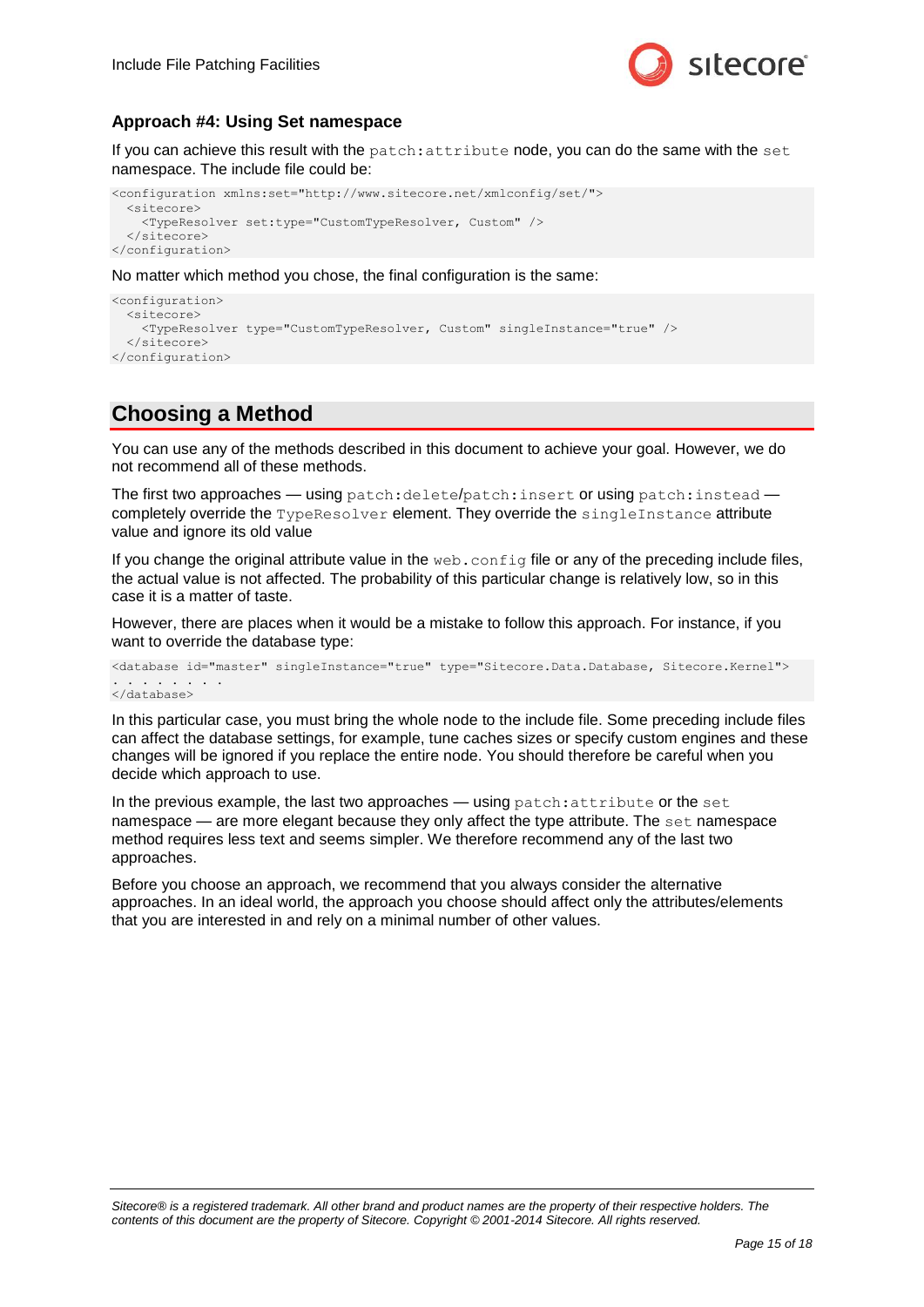

## **Approach #4: Using Set namespace**

If you can achieve this result with the patch: attribute node, you can do the same with the set namespace. The include file could be:

```
<configuration xmlns:set="http://www.sitecore.net/xmlconfig/set/">
   <sitecore>
     <TypeResolver set:type="CustomTypeResolver, Custom" />
   </sitecore>
</configuration>
```
No matter which method you chose, the final configuration is the same:

```
<configuration>
   <sitecore>
    <TypeResolver type="CustomTypeResolver, Custom" singleInstance="true" />
   </sitecore>
</configuration>
```
## **Choosing a Method**

You can use any of the methods described in this document to achieve your goal. However, we do not recommend all of these methods.

The first two approaches — using patch:delete/patch:insert or using patch:instead completely override the TypeResolver element. They override the singleInstance attribute value and ignore its old value

If you change the original attribute value in the web.config file or any of the preceding include files, the actual value is not affected. The probability of this particular change is relatively low, so in this case it is a matter of taste.

However, there are places when it would be a mistake to follow this approach. For instance, if you want to override the database type:

```
<database id="master" singleInstance="true" type="Sitecore.Data.Database, Sitecore.Kernel">
  . . . . . . . .
</database>
```
In this particular case, you must bring the whole node to the include file. Some preceding include files can affect the database settings, for example, tune caches sizes or specify custom engines and these changes will be ignored if you replace the entire node. You should therefore be careful when you decide which approach to use.

In the previous example, the last two approaches — using patch:attribute or the set namespace — are more elegant because they only affect the type attribute. The set namespace method requires less text and seems simpler. We therefore recommend any of the last two approaches.

Before you choose an approach, we recommend that you always consider the alternative approaches. In an ideal world, the approach you choose should affect only the attributes/elements that you are interested in and rely on a minimal number of other values.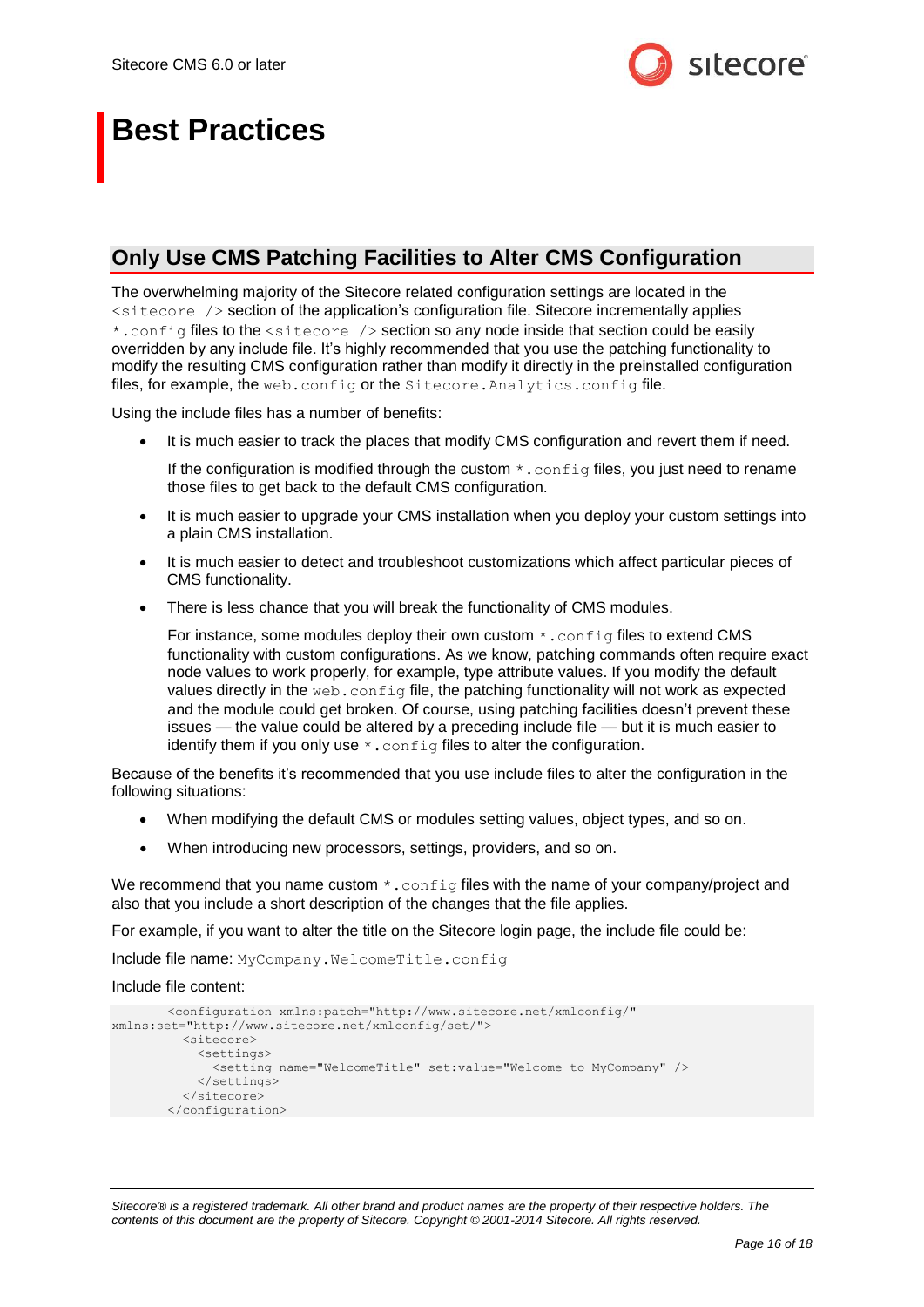

## **Best Practices**

## **Only Use CMS Patching Facilities to Alter CMS Configuration**

The overwhelming majority of the Sitecore related configuration settings are located in the <sitecore /> section of the application's configuration file. Sitecore incrementally applies \*.config files to the <sitecore /> section so any node inside that section could be easily overridden by any include file. It's highly recommended that you use the patching functionality to modify the resulting CMS configuration rather than modify it directly in the preinstalled configuration files, for example, the web.config or the Sitecore. Analytics.config file.

Using the include files has a number of benefits:

It is much easier to track the places that modify CMS configuration and revert them if need.

If the configuration is modified through the custom  $\star$ . config files, you just need to rename those files to get back to the default CMS configuration.

- It is much easier to upgrade your CMS installation when you deploy your custom settings into a plain CMS installation.
- It is much easier to detect and troubleshoot customizations which affect particular pieces of CMS functionality.
- There is less chance that you will break the functionality of CMS modules.

For instance, some modules deploy their own custom \*. config files to extend CMS functionality with custom configurations. As we know, patching commands often require exact node values to work properly, for example, type attribute values. If you modify the default values directly in the web.config file, the patching functionality will not work as expected and the module could get broken. Of course, using patching facilities doesn't prevent these issues — the value could be altered by a preceding include file — but it is much easier to identify them if you only use  $*$ . config files to alter the configuration.

Because of the benefits it's recommended that you use include files to alter the configuration in the following situations:

- When modifying the default CMS or modules setting values, object types, and so on.
- When introducing new processors, settings, providers, and so on.

We recommend that you name custom  $\star$ . config files with the name of your company/project and also that you include a short description of the changes that the file applies.

For example, if you want to alter the title on the Sitecore login page, the include file could be:

Include file name: MyCompany.WelcomeTitle.config

#### Include file content:

```
<configuration xmlns:patch="http://www.sitecore.net/xmlconfig/" 
xmlns:set="http://www.sitecore.net/xmlconfig/set/">
          <sitecore>
            <settings>
              <setting name="WelcomeTitle" set:value="Welcome to MyCompany" />
            </settings>
          </sitecore>
       </configuration>
```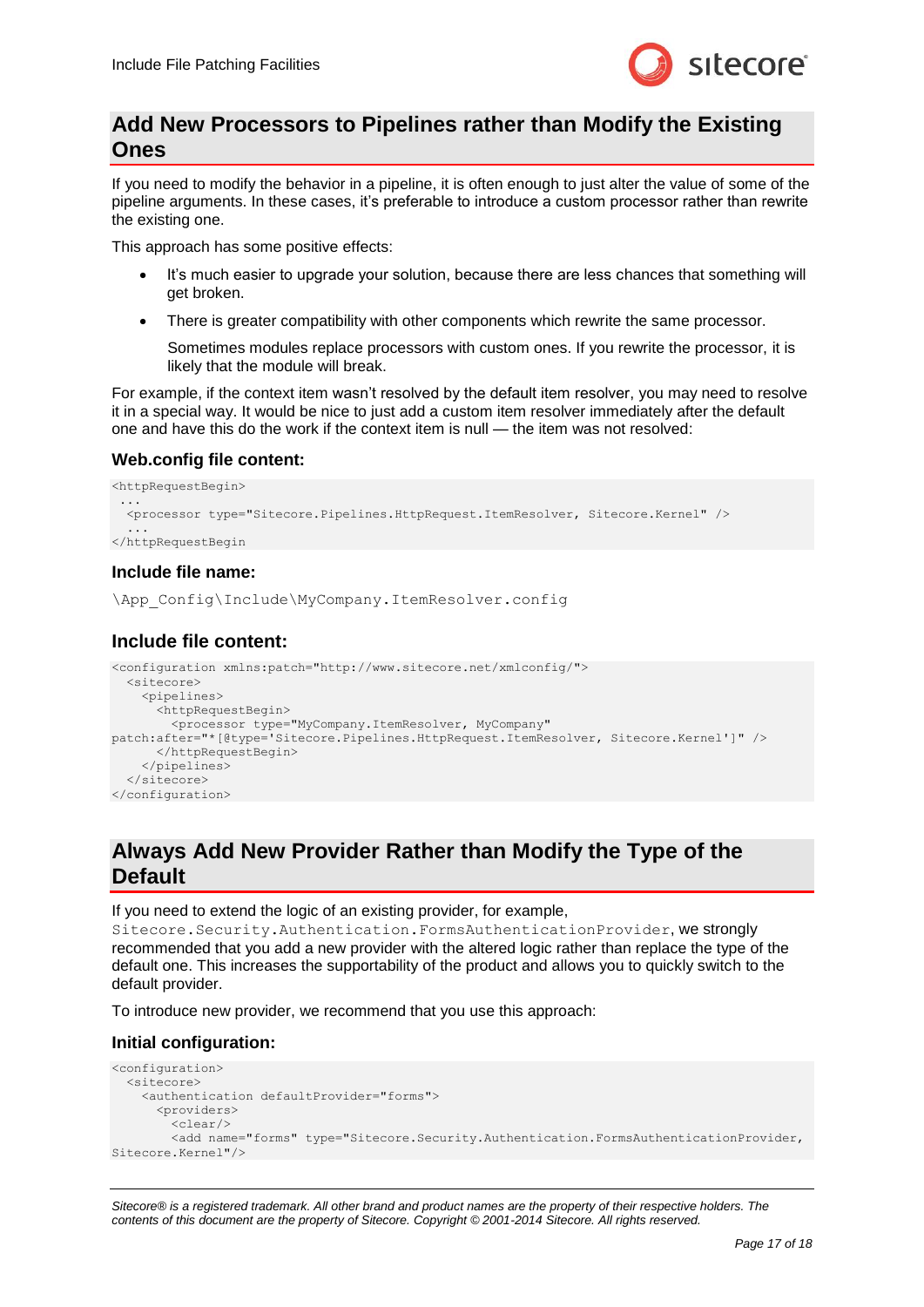

## **Add New Processors to Pipelines rather than Modify the Existing Ones**

If you need to modify the behavior in a pipeline, it is often enough to just alter the value of some of the pipeline arguments. In these cases, it's preferable to introduce a custom processor rather than rewrite the existing one.

This approach has some positive effects:

- It's much easier to upgrade your solution, because there are less chances that something will get broken.
- There is greater compatibility with other components which rewrite the same processor.

Sometimes modules replace processors with custom ones. If you rewrite the processor, it is likely that the module will break.

For example, if the context item wasn't resolved by the default item resolver, you may need to resolve it in a special way. It would be nice to just add a custom item resolver immediately after the default one and have this do the work if the context item is null — the item was not resolved:

## **Web.config file content:**

```
<httpRequestBegin>
 ... 
   <processor type="Sitecore.Pipelines.HttpRequest.ItemResolver, Sitecore.Kernel" />
 ...
</httpRequestBegin
```
## **Include file name:**

\App\_Config\Include\MyCompany.ItemResolver.config

## **Include file content:**

```
<configuration xmlns:patch="http://www.sitecore.net/xmlconfig/">
   <sitecore>
     <pipelines>
       <httpRequestBegin>
        <processor type="MyCompany.ItemResolver, MyCompany" 
patch:after="*[@type='Sitecore.Pipelines.HttpRequest.ItemResolver, Sitecore.Kernel']" />
       </httpRequestBegin>
     </pipelines>
   </sitecore>
</configuration>
```
## **Always Add New Provider Rather than Modify the Type of the Default**

If you need to extend the logic of an existing provider, for example,

Sitecore.Security.Authentication.FormsAuthenticationProvider, we strongly recommended that you add a new provider with the altered logic rather than replace the type of the default one. This increases the supportability of the product and allows you to quickly switch to the default provider.

To introduce new provider, we recommend that you use this approach:

## **Initial configuration:**

```
<configuration>
   <sitecore>
     <authentication defaultProvider="forms">
       <providers>
        \langleclear/\rangle <add name="forms" type="Sitecore.Security.Authentication.FormsAuthenticationProvider, 
Sitecore.Kernel"/>
```